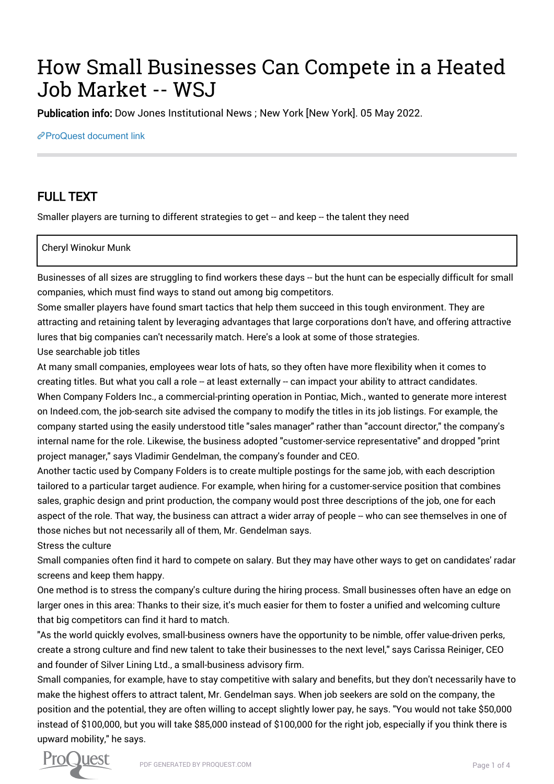# How Small Businesses Can Compete in a Heated Job Market -- WSJ

Publication info: Dow Jones Institutional News ; New York [New York]. 05 May 2022.

[ProQuest document link](https://www.proquest.com/wire-feeds/how-small-businesses-can-compete-heated-job/docview/2659836607/se-2?accountid=44910)

## FULL TEXT

Smaller players are turning to different strategies to get -- and keep -- the talent they need

#### Cheryl Winokur Munk

Businesses of all sizes are struggling to find workers these days -- but the hunt can be especially difficult for small companies, which must find ways to stand out among big competitors.

Some smaller players have found smart tactics that help them succeed in this tough environment. They are attracting and retaining talent by leveraging advantages that large corporations don't have, and offering attractive lures that big companies can't necessarily match. Here's a look at some of those strategies.

Use searchable job titles

At many small companies, employees wear lots of hats, so they often have more flexibility when it comes to creating titles. But what you call a role -- at least externally -- can impact your ability to attract candidates. When Company Folders Inc., a commercial-printing operation in Pontiac, Mich., wanted to generate more interest on Indeed.com, the job-search site advised the company to modify the titles in its job listings. For example, the company started using the easily understood title "sales manager" rather than "account director," the company's internal name for the role. Likewise, the business adopted "customer-service representative" and dropped "print project manager," says Vladimir Gendelman, the company's founder and CEO.

Another tactic used by Company Folders is to create multiple postings for the same job, with each description tailored to a particular target audience. For example, when hiring for a customer-service position that combines sales, graphic design and print production, the company would post three descriptions of the job, one for each aspect of the role. That way, the business can attract a wider array of people -- who can see themselves in one of those niches but not necessarily all of them, Mr. Gendelman says.

Stress the culture

Small companies often find it hard to compete on salary. But they may have other ways to get on candidates' radar screens and keep them happy.

One method is to stress the company's culture during the hiring process. Small businesses often have an edge on larger ones in this area: Thanks to their size, it's much easier for them to foster a unified and welcoming culture that big competitors can find it hard to match.

"As the world quickly evolves, small-business owners have the opportunity to be nimble, offer value-driven perks, create a strong culture and find new talent to take their businesses to the next level," says Carissa Reiniger, CEO and founder of Silver Lining Ltd., a small-business advisory firm.

Small companies, for example, have to stay competitive with salary and benefits, but they don't necessarily have to make the highest offers to attract talent, Mr. Gendelman says. When job seekers are sold on the company, the position and the potential, they are often willing to accept slightly lower pay, he says. "You would not take \$50,000 instead of \$100,000, but you will take \$85,000 instead of \$100,000 for the right job, especially if you think there is upward mobility," he says.

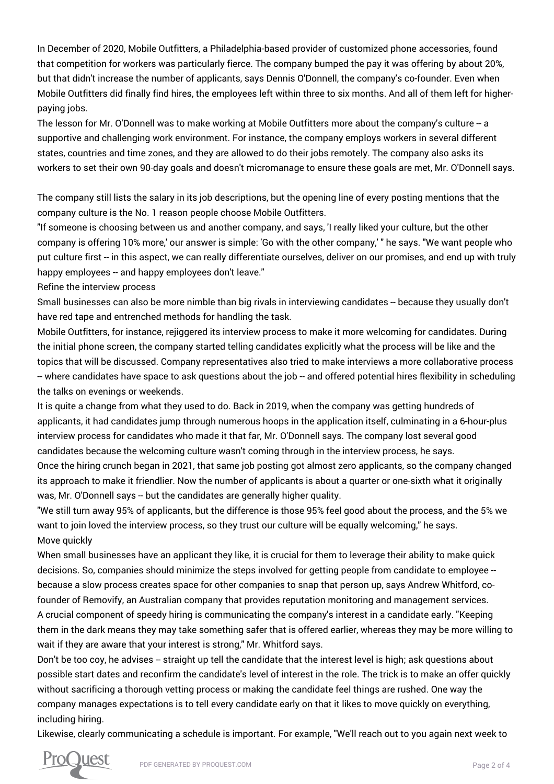In December of 2020, Mobile Outfitters, a Philadelphia-based provider of customized phone accessories, found that competition for workers was particularly fierce. The company bumped the pay it was offering by about 20%, but that didn't increase the number of applicants, says Dennis O'Donnell, the company's co-founder. Even when Mobile Outfitters did finally find hires, the employees left within three to six months. And all of them left for higherpaying jobs.

The lesson for Mr. O'Donnell was to make working at Mobile Outfitters more about the company's culture -- a supportive and challenging work environment. For instance, the company employs workers in several different states, countries and time zones, and they are allowed to do their jobs remotely. The company also asks its workers to set their own 90-day goals and doesn't micromanage to ensure these goals are met, Mr. O'Donnell says.

The company still lists the salary in its job descriptions, but the opening line of every posting mentions that the company culture is the No. 1 reason people choose Mobile Outfitters.

"If someone is choosing between us and another company, and says, 'I really liked your culture, but the other company is offering 10% more,' our answer is simple: 'Go with the other company,' " he says. "We want people who put culture first -- in this aspect, we can really differentiate ourselves, deliver on our promises, and end up with truly happy employees -- and happy employees don't leave."

Refine the interview process

Small businesses can also be more nimble than big rivals in interviewing candidates -- because they usually don't have red tape and entrenched methods for handling the task.

Mobile Outfitters, for instance, rejiggered its interview process to make it more welcoming for candidates. During the initial phone screen, the company started telling candidates explicitly what the process will be like and the topics that will be discussed. Company representatives also tried to make interviews a more collaborative process -- where candidates have space to ask questions about the job -- and offered potential hires flexibility in scheduling the talks on evenings or weekends.

It is quite a change from what they used to do. Back in 2019, when the company was getting hundreds of applicants, it had candidates jump through numerous hoops in the application itself, culminating in a 6-hour-plus interview process for candidates who made it that far, Mr. O'Donnell says. The company lost several good candidates because the welcoming culture wasn't coming through in the interview process, he says. Once the hiring crunch began in 2021, that same job posting got almost zero applicants, so the company changed

its approach to make it friendlier. Now the number of applicants is about a quarter or one-sixth what it originally was, Mr. O'Donnell says -- but the candidates are generally higher quality.

"We still turn away 95% of applicants, but the difference is those 95% feel good about the process, and the 5% we want to join loved the interview process, so they trust our culture will be equally welcoming," he says. Move quickly

When small businesses have an applicant they like, it is crucial for them to leverage their ability to make quick decisions. So, companies should minimize the steps involved for getting people from candidate to employee - because a slow process creates space for other companies to snap that person up, says Andrew Whitford, cofounder of Removify, an Australian company that provides reputation monitoring and management services.

A crucial component of speedy hiring is communicating the company's interest in a candidate early. "Keeping them in the dark means they may take something safer that is offered earlier, whereas they may be more willing to wait if they are aware that your interest is strong," Mr. Whitford says.

Don't be too coy, he advises -- straight up tell the candidate that the interest level is high; ask questions about possible start dates and reconfirm the candidate's level of interest in the role. The trick is to make an offer quickly without sacrificing a thorough vetting process or making the candidate feel things are rushed. One way the company manages expectations is to tell every candidate early on that it likes to move quickly on everything, including hiring.

Likewise, clearly communicating a schedule is important. For example, "We'll reach out to you again next week to

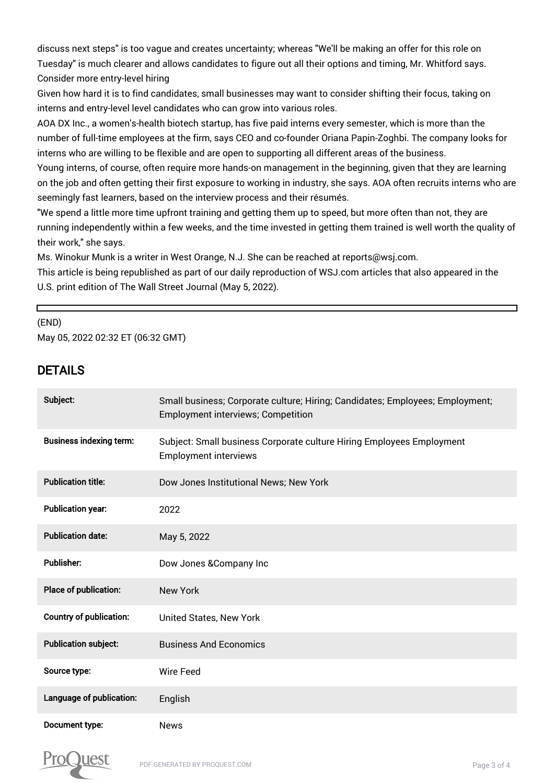discuss next steps" is too vague and creates uncertainty; whereas "We'll be making an offer for this role on Tuesday" is much clearer and allows candidates to figure out all their options and timing, Mr. Whitford says. Consider more entry-level hiring

Given how hard it is to find candidates, small businesses may want to consider shifting their focus, taking on interns and entry-level level candidates who can grow into various roles.

AOA DX Inc., a women's-health biotech startup, has five paid interns every semester, which is more than the number of full-time employees at the firm, says CEO and co-founder Oriana Papin-Zoghbi. The company looks for interns who are willing to be flexible and are open to supporting all different areas of the business.

Young interns, of course, often require more hands-on management in the beginning, given that they are learning on the job and often getting their first exposure to working in industry, she says. AOA often recruits interns who are seemingly fast learners, based on the interview process and their résumés.

"We spend a little more time upfront training and getting them up to speed, but more often than not, they are running independently within a few weeks, and the time invested in getting them trained is well worth the quality of their work," she says.

Ms. Winokur Munk is a writer in West Orange, N.J. She can be reached at reports@wsj.com.

This article is being republished as part of our daily reproduction of WSJ.com articles that also appeared in the U.S. print edition of The Wall Street Journal (May 5, 2022).

### (END) May 05, 2022 02:32 ET (06:32 GMT)

## DETAILS

г

| Subject:                       | Small business; Corporate culture; Hiring; Candidates; Employees; Employment;<br><b>Employment interviews; Competition</b> |
|--------------------------------|----------------------------------------------------------------------------------------------------------------------------|
| <b>Business indexing term:</b> | Subject: Small business Corporate culture Hiring Employees Employment<br><b>Employment interviews</b>                      |
| <b>Publication title:</b>      | Dow Jones Institutional News; New York                                                                                     |
| <b>Publication year:</b>       | 2022                                                                                                                       |
| <b>Publication date:</b>       | May 5, 2022                                                                                                                |
| <b>Publisher:</b>              | Dow Jones & Company Inc                                                                                                    |
| Place of publication:          | <b>New York</b>                                                                                                            |
| <b>Country of publication:</b> | <b>United States, New York</b>                                                                                             |
| <b>Publication subject:</b>    | <b>Business And Economics</b>                                                                                              |
| Source type:                   | <b>Wire Feed</b>                                                                                                           |
| Language of publication:       | English                                                                                                                    |
| Document type:                 | <b>News</b>                                                                                                                |